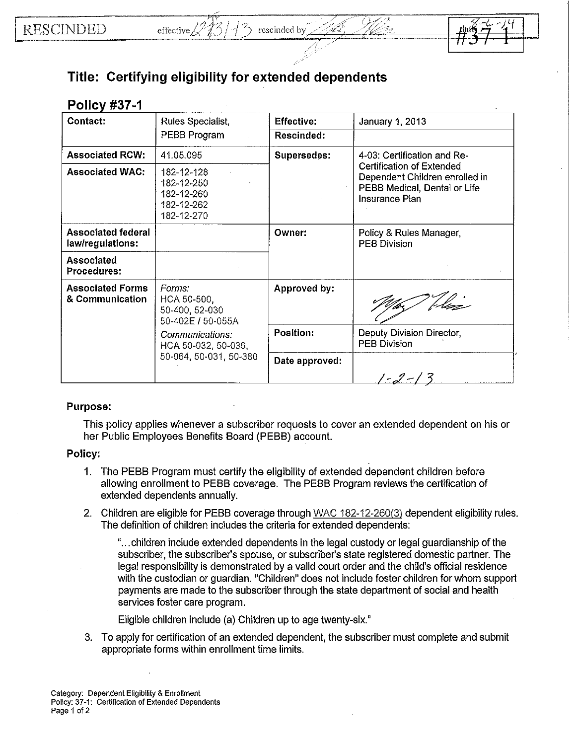| <b>Service</b><br>rescinded by |
|--------------------------------|
|                                |



## **Title: Certifying eligibility for extended dependents**

effective/

| <b>Policy #37-1</b>                           |                                                                    |                                                  |                                                                                                                      |
|-----------------------------------------------|--------------------------------------------------------------------|--------------------------------------------------|----------------------------------------------------------------------------------------------------------------------|
| <b>Contact:</b>                               | Rules Specialist,                                                  | Effective:                                       | January 1, 2013                                                                                                      |
|                                               | PEBB Program                                                       | Rescinded:                                       |                                                                                                                      |
| <b>Associated RCW:</b>                        | 41.05.095                                                          | Supersedes:                                      | 4-03: Certification and Re-                                                                                          |
| <b>Associated WAC:</b>                        | 182-12-128<br>182-12-250<br>182-12-260<br>182-12-262<br>182-12-270 |                                                  | <b>Certification of Extended</b><br>Dependent Children enrolled in<br>PEBB Medical, Dental or Life<br>Insurance Plan |
| <b>Associated federal</b><br>law/regulations: |                                                                    | Owner:                                           | Policy & Rules Manager,<br><b>PEB Division</b>                                                                       |
| Associated<br>Procedures:                     |                                                                    |                                                  |                                                                                                                      |
| <b>Associated Forms</b><br>& Communication    | Forms:<br>HCA 50-500,<br>50-400, 52-030<br>50-402E / 50-055A       | Approved by:                                     |                                                                                                                      |
| Communications:<br>HCA 50-032, 50-036,        | Position:                                                          | Deputy Division Director,<br><b>PEB Division</b> |                                                                                                                      |
|                                               | 50-064, 50-031, 50-380                                             | Date approved:                                   |                                                                                                                      |
|                                               |                                                                    |                                                  | $1 - 2 - 13$                                                                                                         |

## Purpose:

This policy applies whenever a subscriber requests to cover an extended dependent on his or her Public Employees Benefits Board (PEBB) account.

## Policy:

- 1. The PEBB Program must certify the eligibility of extended dependent children before allowing enrollment to PEBB coverage. The PEBB Program reviews the certification of extended dependents annually.
- 2. Children are eligible for PEBB coverage through WAC 182-12-260(3) dependent eligibility rules. The definition of children includes the criteria for extended dependents:

" ... children include extended dependents in the legal custody or legal guardianship of the subscriber, the subscriber's spouse, or subscriber's state registered domestic partner. The legal responsibility is demonstrated by a valid court order and the child's official residence with the custodian or guardian. "Children" does not include foster children for whom support payments are made to the subscriber through the state department of social and health services foster care program.

Eligible children include (a) Children up to age twenty-six."

3. To apply for certification of an extended dependent, the subscriber must complete and submit appropriate forms within enrollment time limits.